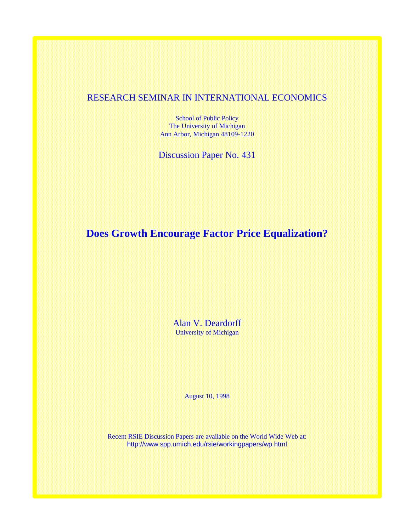# RESEARCH SEMINAR IN INTERNATIONAL ECONOMICS

School of Public Policy The University of Michigan Ann Arbor, Michigan 48109-1220

Discussion Paper No. 431

**Does Growth Encourage Factor Price Equalization?**

Alan V. Deardorff University of Michigan

August 10, 1998

Recent RSIE Discussion Papers are available on the World Wide Web at: http://www.spp.umich.edu/rsie/workingpapers/wp.html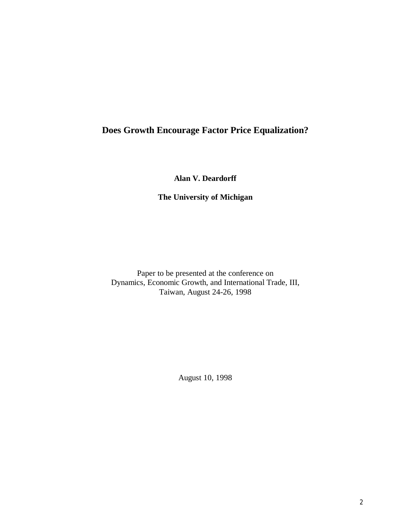# **Does Growth Encourage Factor Price Equalization?**

**Alan V. Deardorff**

**The University of Michigan**

Paper to be presented at the conference on Dynamics, Economic Growth, and International Trade, III, Taiwan, August 24-26, 1998

August 10, 1998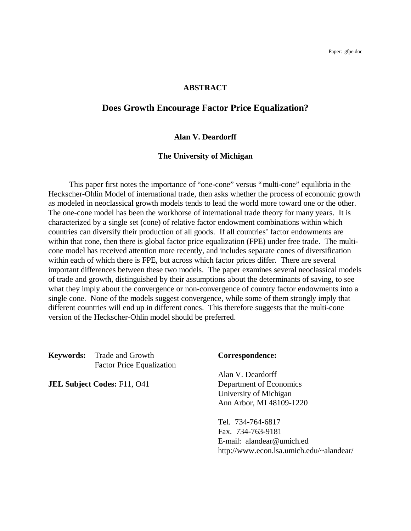## **ABSTRACT**

# **Does Growth Encourage Factor Price Equalization?**

## **Alan V. Deardorff**

### **The University of Michigan**

This paper first notes the importance of "one-cone" versus "multi-cone" equilibria in the Heckscher-Ohlin Model of international trade, then asks whether the process of economic growth as modeled in neoclassical growth models tends to lead the world more toward one or the other. The one-cone model has been the workhorse of international trade theory for many years. It is characterized by a single set (cone) of relative factor endowment combinations within which countries can diversify their production of all goods. If all countries' factor endowments are within that cone, then there is global factor price equalization (FPE) under free trade. The multicone model has received attention more recently, and includes separate cones of diversification within each of which there is FPE, but across which factor prices differ. There are several important differences between these two models. The paper examines several neoclassical models of trade and growth, distinguished by their assumptions about the determinants of saving, to see what they imply about the convergence or non-convergence of country factor endowments into a single cone. None of the models suggest convergence, while some of them strongly imply that different countries will end up in different cones. This therefore suggests that the multi-cone version of the Heckscher-Ohlin model should be preferred.

**Keywords:** Trade and Growth **Correspondence:** Factor Price Equalization

**JEL Subject Codes:** F11, O41 Department of Economics

Alan V. Deardorff University of Michigan Ann Arbor, MI 48109-1220

Tel. 734-764-6817 Fax. 734-763-9181 E-mail: alandear@umich.ed http://www.econ.lsa.umich.edu/~alandear/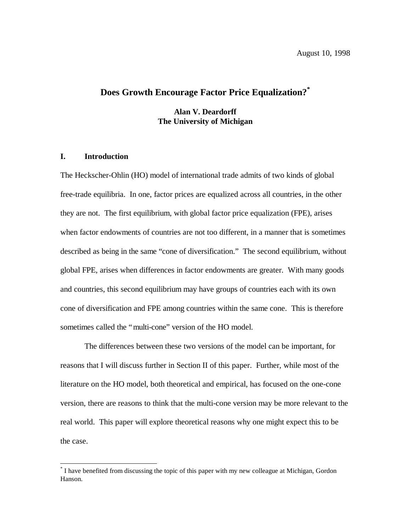# **Does Growth Encourage Factor Price Equalization? \***

**Alan V. Deardorff The University of Michigan**

## **I. Introduction**

 $\overline{\phantom{a}}$ 

The Heckscher-Ohlin (HO) model of international trade admits of two kinds of global free-trade equilibria. In one, factor prices are equalized across all countries, in the other they are not. The first equilibrium, with global factor price equalization (FPE), arises when factor endowments of countries are not too different, in a manner that is sometimes described as being in the same "cone of diversification." The second equilibrium, without global FPE, arises when differences in factor endowments are greater. With many goods and countries, this second equilibrium may have groups of countries each with its own cone of diversification and FPE among countries within the same cone. This is therefore sometimes called the "multi-cone" version of the HO model.

The differences between these two versions of the model can be important, for reasons that I will discuss further in Section II of this paper. Further, while most of the literature on the HO model, both theoretical and empirical, has focused on the one-cone version, there are reasons to think that the multi-cone version may be more relevant to the real world. This paper will explore theoretical reasons why one might expect this to be the case.

<sup>\*</sup> I have benefited from discussing the topic of this paper with my new colleague at Michigan, Gordon Hanson.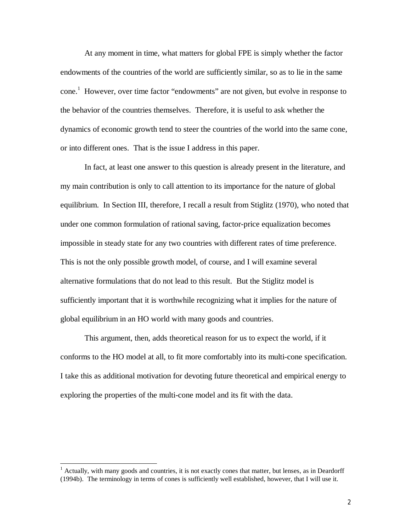At any moment in time, what matters for global FPE is simply whether the factor endowments of the countries of the world are sufficiently similar, so as to lie in the same cone. 1 However, over time factor "endowments" are not given, but evolve in response to the behavior of the countries themselves. Therefore, it is useful to ask whether the dynamics of economic growth tend to steer the countries of the world into the same cone, or into different ones. That is the issue I address in this paper.

In fact, at least one answer to this question is already present in the literature, and my main contribution is only to call attention to its importance for the nature of global equilibrium. In Section III, therefore, I recall a result from Stiglitz (1970), who noted that under one common formulation of rational saving, factor-price equalization becomes impossible in steady state for any two countries with different rates of time preference. This is not the only possible growth model, of course, and I will examine several alternative formulations that do not lead to this result. But the Stiglitz model is sufficiently important that it is worthwhile recognizing what it implies for the nature of global equilibrium in an HO world with many goods and countries.

This argument, then, adds theoretical reason for us to expect the world, if it conforms to the HO model at all, to fit more comfortably into its multi-cone specification. I take this as additional motivation for devoting future theoretical and empirical energy to exploring the properties of the multi-cone model and its fit with the data.

 $<sup>1</sup>$  Actually, with many goods and countries, it is not exactly cones that matter, but lenses, as in Deardorff</sup> (1994b). The terminology in terms of cones is sufficiently well established, however, that I will use it.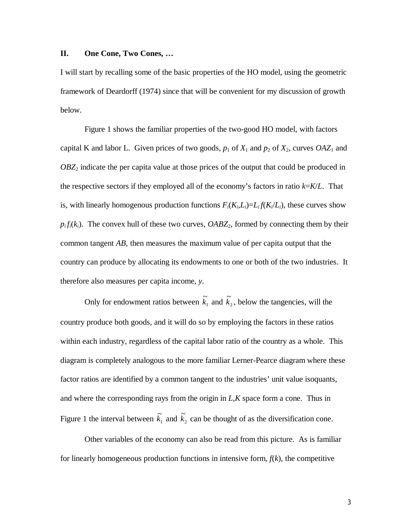## **II. One Cone, Two Cones, …**

I will start by recalling some of the basic properties of the HO model, using the geometric framework of Deardorff (1974) since that will be convenient for my discussion of growth below.

Figure 1 shows the familiar properties of the two-good HO model, with factors capital K and labor L. Given prices of two goods,  $p_1$  of  $X_1$  and  $p_2$  of  $X_2$ , curves  $OAZ_1$  and *OBZ*2 indicate the per capita value at those prices of the output that could be produced in the respective sectors if they employed all of the economy's factors in ratio *k*=*K*/*L*. That is, with linearly homogenous production functions  $F_i(K_i, L_i) = L_i f(K_i/L_i)$ , these curves show  $p_i f_i(k_i)$ . The convex hull of these two curves,  $OABZ_2$ , formed by connecting them by their common tangent *AB*, then measures the maximum value of per capita output that the country can produce by allocating its endowments to one or both of the two industries. It therefore also measures per capita income, *y*.

Only for endowment ratios between  $\tilde{k}_1$  and  $\tilde{k}_2$ , below the tangencies, will the country produce both goods, and it will do so by employing the factors in these ratios within each industry, regardless of the capital labor ratio of the country as a whole. This diagram is completely analogous to the more familiar Lerner-Pearce diagram where these factor ratios are identified by a common tangent to the industries' unit value isoquants, and where the corresponding rays from the origin in *L*,*K* space form a cone. Thus in Figure 1 the interval between  $\tilde{k}_1$  and  $\tilde{k}_2$  can be thought of as the diversification cone.

Other variables of the economy can also be read from this picture. As is familiar for linearly homogeneous production functions in intensive form,  $f(k)$ , the competitive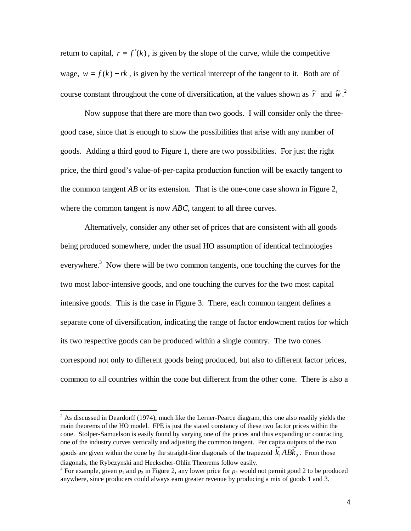return to capital,  $r = f'(k)$ , is given by the slope of the curve, while the competitive wage,  $w = f(k) - rk$ , is given by the vertical intercept of the tangent to it. Both are of course constant throughout the cone of diversification, at the values shown as  $\tilde{r}$  and  $\tilde{w}$ .<sup>2</sup>

Now suppose that there are more than two goods. I will consider only the threegood case, since that is enough to show the possibilities that arise with any number of goods. Adding a third good to Figure 1, there are two possibilities. For just the right price, the third good's value-of-per-capita production function will be exactly tangent to the common tangent  $\overline{AB}$  or its extension. That is the one-cone case shown in Figure 2, where the common tangent is now *ABC*, tangent to all three curves.

Alternatively, consider any other set of prices that are consistent with all goods being produced somewhere, under the usual HO assumption of identical technologies everywhere.<sup>3</sup> Now there will be two common tangents, one touching the curves for the two most labor-intensive goods, and one touching the curves for the two most capital intensive goods. This is the case in Figure 3. There, each common tangent defines a separate cone of diversification, indicating the range of factor endowment ratios for which its two respective goods can be produced within a single country. The two cones correspond not only to different goods being produced, but also to different factor prices, common to all countries within the cone but different from the other cone. There is also a

 $\overline{\phantom{a}}$ 

goods are given within the cone by the straight-line diagonals of the trapezoid  $k_1 A B k_2$ diagonals, the Rybczynski and Heckscher-Ohlin Theorems follow easily.

 $2^{2}$  As discussed in Deardorff (1974), much like the Lerner-Pearce diagram, this one also readily yields the main theorems of the HO model. FPE is just the stated constancy of these two factor prices within the cone. Stolper-Samuelson is easily found by varying one of the prices and thus expanding or contracting one of the industry curves vertically and adjusting the common tangent. Per capita outputs of the two  $\tilde{k}_1 AB \tilde{k}_2$ . From those

<sup>&</sup>lt;sup>3</sup> For example, given  $p_1$  and  $p_3$  in Figure 2, any lower price for  $p_2$  would not permit good 2 to be produced anywhere, since producers could always earn greater revenue by producing a mix of goods 1 and 3.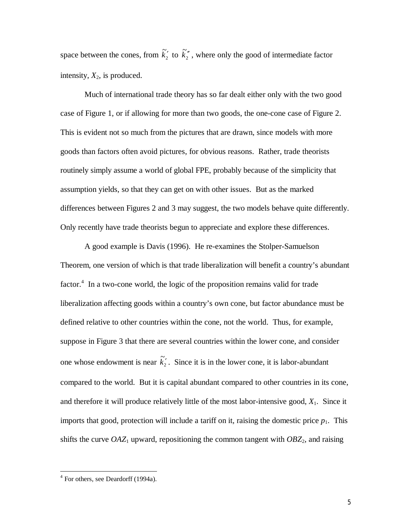space between the cones, from  $\tilde{k}'_2$  to  $\tilde{k}''_2$ , where only the good of intermediate factor intensity,  $X_2$ , is produced.

Much of international trade theory has so far dealt either only with the two good case of Figure 1, or if allowing for more than two goods, the one-cone case of Figure 2. This is evident not so much from the pictures that are drawn, since models with more goods than factors often avoid pictures, for obvious reasons. Rather, trade theorists routinely simply assume a world of global FPE, probably because of the simplicity that assumption yields, so that they can get on with other issues. But as the marked differences between Figures 2 and 3 may suggest, the two models behave quite differently. Only recently have trade theorists begun to appreciate and explore these differences.

A good example is Davis (1996). He re-examines the Stolper-Samuelson Theorem, one version of which is that trade liberalization will benefit a country's abundant factor.<sup>4</sup> In a two-cone world, the logic of the proposition remains valid for trade liberalization affecting goods within a country's own cone, but factor abundance must be defined relative to other countries within the cone, not the world. Thus, for example, suppose in Figure 3 that there are several countries within the lower cone, and consider one whose endowment is near  $\tilde{k}'_2$ . Since it is in the lower cone, it is labor-abundant compared to the world. But it is capital abundant compared to other countries in its cone, and therefore it will produce relatively little of the most labor-intensive good, *X*1. Since it imports that good, protection will include a tariff on it, raising the domestic price  $p_1$ . This shifts the curve  $OAZ_1$  upward, repositioning the common tangent with  $OBZ_2$ , and raising

 4 For others, see Deardorff (1994a).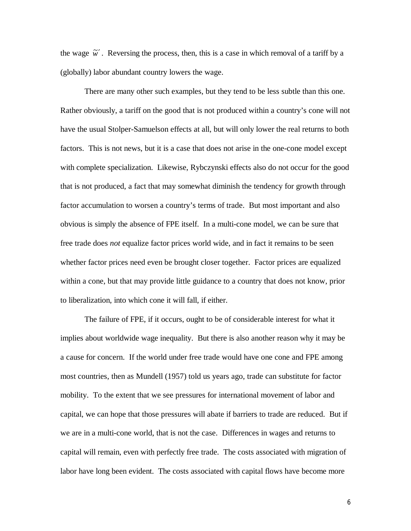the wage  $\tilde{w}'$ . Reversing the process, then, this is a case in which removal of a tariff by a (globally) labor abundant country lowers the wage.

There are many other such examples, but they tend to be less subtle than this one. Rather obviously, a tariff on the good that is not produced within a country's cone will not have the usual Stolper-Samuelson effects at all, but will only lower the real returns to both factors. This is not news, but it is a case that does not arise in the one-cone model except with complete specialization. Likewise, Rybczynski effects also do not occur for the good that is not produced, a fact that may somewhat diminish the tendency for growth through factor accumulation to worsen a country's terms of trade. But most important and also obvious is simply the absence of FPE itself. In a multi-cone model, we can be sure that free trade does *not* equalize factor prices world wide, and in fact it remains to be seen whether factor prices need even be brought closer together. Factor prices are equalized within a cone, but that may provide little guidance to a country that does not know, prior to liberalization, into which cone it will fall, if either.

The failure of FPE, if it occurs, ought to be of considerable interest for what it implies about worldwide wage inequality. But there is also another reason why it may be a cause for concern. If the world under free trade would have one cone and FPE among most countries, then as Mundell (1957) told us years ago, trade can substitute for factor mobility. To the extent that we see pressures for international movement of labor and capital, we can hope that those pressures will abate if barriers to trade are reduced. But if we are in a multi-cone world, that is not the case. Differences in wages and returns to capital will remain, even with perfectly free trade. The costs associated with migration of labor have long been evident. The costs associated with capital flows have become more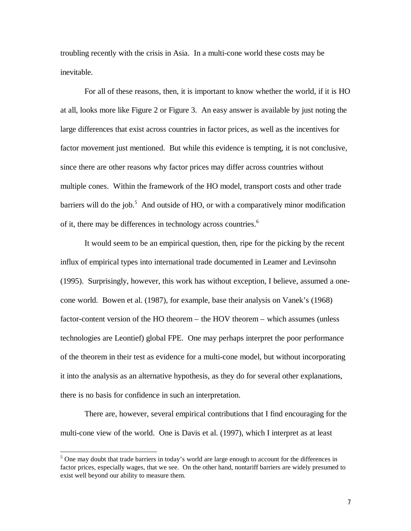troubling recently with the crisis in Asia. In a multi-cone world these costs may be inevitable.

For all of these reasons, then, it is important to know whether the world, if it is HO at all, looks more like Figure 2 or Figure 3. An easy answer is available by just noting the large differences that exist across countries in factor prices, as well as the incentives for factor movement just mentioned. But while this evidence is tempting, it is not conclusive, since there are other reasons why factor prices may differ across countries without multiple cones. Within the framework of the HO model, transport costs and other trade barriers will do the job.<sup>5</sup> And outside of HO, or with a comparatively minor modification of it, there may be differences in technology across countries.<sup>6</sup>

It would seem to be an empirical question, then, ripe for the picking by the recent influx of empirical types into international trade documented in Leamer and Levinsohn (1995). Surprisingly, however, this work has without exception, I believe, assumed a onecone world. Bowen et al. (1987), for example, base their analysis on Vanek's (1968) factor-content version of the HO theorem – the HOV theorem – which assumes (unless technologies are Leontief) global FPE. One may perhaps interpret the poor performance of the theorem in their test as evidence for a multi-cone model, but without incorporating it into the analysis as an alternative hypothesis, as they do for several other explanations, there is no basis for confidence in such an interpretation.

There are, however, several empirical contributions that I find encouraging for the multi-cone view of the world. One is Davis et al. (1997), which I interpret as at least

 $<sup>5</sup>$  One may doubt that trade barriers in today's world are large enough to account for the differences in</sup> factor prices, especially wages, that we see. On the other hand, nontariff barriers are widely presumed to exist well beyond our ability to measure them.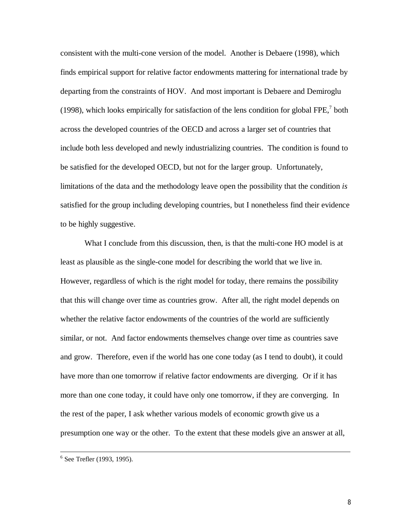consistent with the multi-cone version of the model. Another is Debaere (1998), which finds empirical support for relative factor endowments mattering for international trade by departing from the constraints of HOV. And most important is Debaere and Demiroglu (1998), which looks empirically for satisfaction of the lens condition for global FPE, $^7$  both across the developed countries of the OECD and across a larger set of countries that include both less developed and newly industrializing countries. The condition is found to be satisfied for the developed OECD, but not for the larger group. Unfortunately, limitations of the data and the methodology leave open the possibility that the condition *is* satisfied for the group including developing countries, but I nonetheless find their evidence to be highly suggestive.

What I conclude from this discussion, then, is that the multi-cone HO model is at least as plausible as the single-cone model for describing the world that we live in. However, regardless of which is the right model for today, there remains the possibility that this will change over time as countries grow. After all, the right model depends on whether the relative factor endowments of the countries of the world are sufficiently similar, or not. And factor endowments themselves change over time as countries save and grow. Therefore, even if the world has one cone today (as I tend to doubt), it could have more than one tomorrow if relative factor endowments are diverging. Or if it has more than one cone today, it could have only one tomorrow, if they are converging. In the rest of the paper, I ask whether various models of economic growth give us a presumption one way or the other. To the extent that these models give an answer at all,

<sup>6</sup> See Trefler (1993, 1995).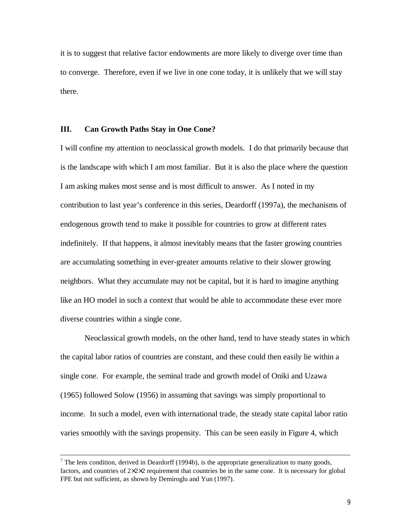it is to suggest that relative factor endowments are more likely to diverge over time than to converge. Therefore, even if we live in one cone today, it is unlikely that we will stay there.

## **III. Can Growth Paths Stay in One Cone?**

 $\overline{\phantom{a}}$ 

I will confine my attention to neoclassical growth models. I do that primarily because that is the landscape with which I am most familiar. But it is also the place where the question I am asking makes most sense and is most difficult to answer. As I noted in my contribution to last year's conference in this series, Deardorff (1997a), the mechanisms of endogenous growth tend to make it possible for countries to grow at different rates indefinitely. If that happens, it almost inevitably means that the faster growing countries are accumulating something in ever-greater amounts relative to their slower growing neighbors. What they accumulate may not be capital, but it is hard to imagine anything like an HO model in such a context that would be able to accommodate these ever more diverse countries within a single cone.

Neoclassical growth models, on the other hand, tend to have steady states in which the capital labor ratios of countries are constant, and these could then easily lie within a single cone. For example, the seminal trade and growth model of Oniki and Uzawa (1965) followed Solow (1956) in assuming that savings was simply proportional to income. In such a model, even with international trade, the steady state capital labor ratio varies smoothly with the savings propensity. This can be seen easily in Figure 4, which

<sup>&</sup>lt;sup>7</sup> The lens condition, derived in Deardorff (1994b), is the appropriate generalization to many goods, factors, and countries of  $2 \times 2 \times 2$  requirement that countries be in the same cone. It is necessary for global FPE but not sufficient, as shown by Demiroglu and Yun (1997).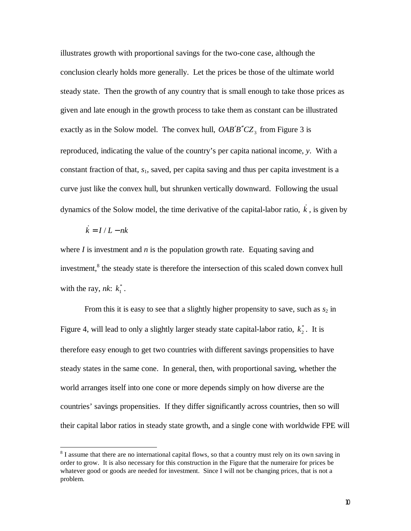illustrates growth with proportional savings for the two-cone case, although the conclusion clearly holds more generally. Let the prices be those of the ultimate world steady state. Then the growth of any country that is small enough to take those prices as given and late enough in the growth process to take them as constant can be illustrated exactly as in the Solow model. The convex hull,  $OAB'B''CZ_3$  from Figure 3 is reproduced, indicating the value of the country's per capita national income, *y*. With a constant fraction of that, *s*1, saved, per capita saving and thus per capita investment is a curve just like the convex hull, but shrunken vertically downward. Following the usual dynamics of the Solow model, the time derivative of the capital-labor ratio,  $\vec{k}$ , is given by

$$
\dot{k} = I / L - nk
$$

 $\overline{\phantom{a}}$ 

where  $I$  is investment and  $n$  is the population growth rate. Equating saving and investment,<sup>8</sup> the steady state is therefore the intersection of this scaled down convex hull with the ray,  $nk$ :  $k_1^*$ .

From this it is easy to see that a slightly higher propensity to save, such as  $s_2$  in Figure 4, will lead to only a slightly larger steady state capital-labor ratio,  $k_2^*$ . It is therefore easy enough to get two countries with different savings propensities to have steady states in the same cone. In general, then, with proportional saving, whether the world arranges itself into one cone or more depends simply on how diverse are the countries' savings propensities. If they differ significantly across countries, then so will their capital labor ratios in steady state growth, and a single cone with worldwide FPE will

 $8<sup>8</sup>$  I assume that there are no international capital flows, so that a country must rely on its own saving in order to grow. It is also necessary for this construction in the Figure that the numeraire for prices be whatever good or goods are needed for investment. Since I will not be changing prices, that is not a problem.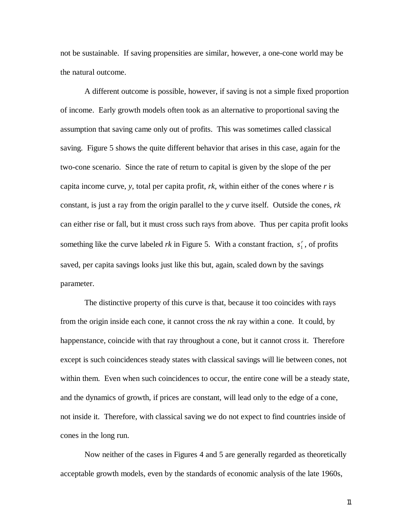not be sustainable. If saving propensities are similar, however, a one-cone world may be the natural outcome.

A different outcome is possible, however, if saving is not a simple fixed proportion of income. Early growth models often took as an alternative to proportional saving the assumption that saving came only out of profits. This was sometimes called classical saving. Figure 5 shows the quite different behavior that arises in this case, again for the two-cone scenario. Since the rate of return to capital is given by the slope of the per capita income curve, *y*, total per capita profit, *rk*, within either of the cones where *r* is constant, is just a ray from the origin parallel to the *y* curve itself. Outside the cones, *rk* can either rise or fall, but it must cross such rays from above. Thus per capita profit looks something like the curve labeled *rk* in Figure 5. With a constant fraction,  $s_1^r$ , of profits saved, per capita savings looks just like this but, again, scaled down by the savings parameter.

The distinctive property of this curve is that, because it too coincides with rays from the origin inside each cone, it cannot cross the *nk* ray within a cone. It could, by happenstance, coincide with that ray throughout a cone, but it cannot cross it. Therefore except is such coincidences steady states with classical savings will lie between cones, not within them. Even when such coincidences to occur, the entire cone will be a steady state, and the dynamics of growth, if prices are constant, will lead only to the edge of a cone, not inside it. Therefore, with classical saving we do not expect to find countries inside of cones in the long run.

Now neither of the cases in Figures 4 and 5 are generally regarded as theoretically acceptable growth models, even by the standards of economic analysis of the late 1960s,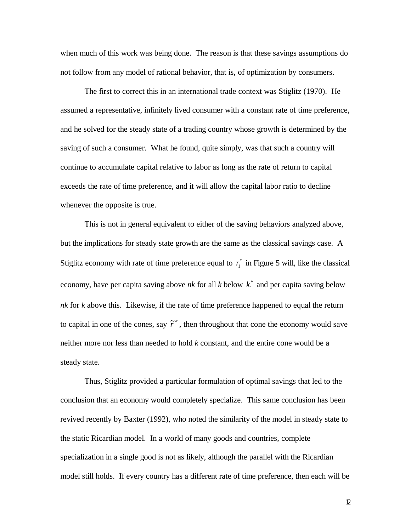when much of this work was being done. The reason is that these savings assumptions do not follow from any model of rational behavior, that is, of optimization by consumers.

The first to correct this in an international trade context was Stiglitz (1970). He assumed a representative, infinitely lived consumer with a constant rate of time preference, and he solved for the steady state of a trading country whose growth is determined by the saving of such a consumer. What he found, quite simply, was that such a country will continue to accumulate capital relative to labor as long as the rate of return to capital exceeds the rate of time preference, and it will allow the capital labor ratio to decline whenever the opposite is true.

This is not in general equivalent to either of the saving behaviors analyzed above, but the implications for steady state growth are the same as the classical savings case. A Stiglitz economy with rate of time preference equal to  $r_1^*$  in Figure 5 will, like the classical economy, have per capita saving above *nk* for all *k* below  $k_1^*$  and per capita saving below *nk* for *k* above this. Likewise, if the rate of time preference happened to equal the return to capital in one of the cones, say  $\tilde{r}''$ , then throughout that cone the economy would save neither more nor less than needed to hold *k* constant, and the entire cone would be a steady state.

Thus, Stiglitz provided a particular formulation of optimal savings that led to the conclusion that an economy would completely specialize. This same conclusion has been revived recently by Baxter (1992), who noted the similarity of the model in steady state to the static Ricardian model. In a world of many goods and countries, complete specialization in a single good is not as likely, although the parallel with the Ricardian model still holds. If every country has a different rate of time preference, then each will be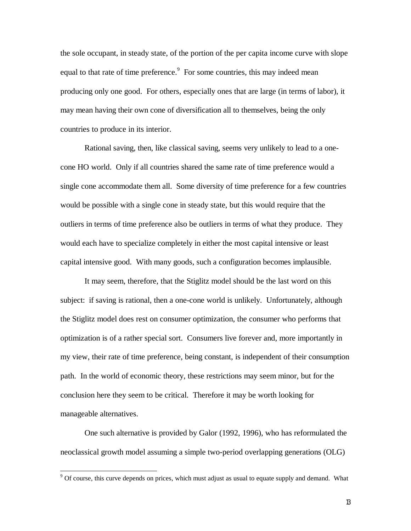the sole occupant, in steady state, of the portion of the per capita income curve with slope equal to that rate of time preference.<sup>9</sup> For some countries, this may indeed mean producing only one good. For others, especially ones that are large (in terms of labor), it may mean having their own cone of diversification all to themselves, being the only countries to produce in its interior.

Rational saving, then, like classical saving, seems very unlikely to lead to a onecone HO world. Only if all countries shared the same rate of time preference would a single cone accommodate them all. Some diversity of time preference for a few countries would be possible with a single cone in steady state, but this would require that the outliers in terms of time preference also be outliers in terms of what they produce. They would each have to specialize completely in either the most capital intensive or least capital intensive good. With many goods, such a configuration becomes implausible.

It may seem, therefore, that the Stiglitz model should be the last word on this subject: if saving is rational, then a one-cone world is unlikely. Unfortunately, although the Stiglitz model does rest on consumer optimization, the consumer who performs that optimization is of a rather special sort. Consumers live forever and, more importantly in my view, their rate of time preference, being constant, is independent of their consumption path. In the world of economic theory, these restrictions may seem minor, but for the conclusion here they seem to be critical. Therefore it may be worth looking for manageable alternatives.

One such alternative is provided by Galor (1992, 1996), who has reformulated the neoclassical growth model assuming a simple two-period overlapping generations (OLG)

 $\overline{\phantom{a}}$ 

<sup>&</sup>lt;sup>9</sup> Of course, this curve depends on prices, which must adjust as usual to equate supply and demand. What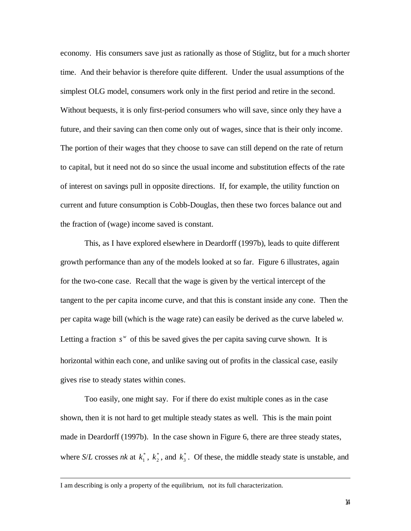economy. His consumers save just as rationally as those of Stiglitz, but for a much shorter time. And their behavior is therefore quite different. Under the usual assumptions of the simplest OLG model, consumers work only in the first period and retire in the second. Without bequests, it is only first-period consumers who will save, since only they have a future, and their saving can then come only out of wages, since that is their only income. The portion of their wages that they choose to save can still depend on the rate of return to capital, but it need not do so since the usual income and substitution effects of the rate of interest on savings pull in opposite directions. If, for example, the utility function on current and future consumption is Cobb-Douglas, then these two forces balance out and the fraction of (wage) income saved is constant.

This, as I have explored elsewhere in Deardorff (1997b), leads to quite different growth performance than any of the models looked at so far. Figure 6 illustrates, again for the two-cone case. Recall that the wage is given by the vertical intercept of the tangent to the per capita income curve, and that this is constant inside any cone. Then the per capita wage bill (which is the wage rate) can easily be derived as the curve labeled *w*. Letting a fraction  $s^w$  of this be saved gives the per capita saving curve shown. It is horizontal within each cone, and unlike saving out of profits in the classical case, easily gives rise to steady states within cones.

Too easily, one might say. For if there do exist multiple cones as in the case shown, then it is not hard to get multiple steady states as well. This is the main point made in Deardorff (1997b). In the case shown in Figure 6, there are three steady states, where *S/L* crosses *nk* at  $k_1^*$ ,  $k_2^*$  $k_2^*$ , and  $k_3^*$ . Of these, the middle steady state is unstable, and

I am describing is only a property of the equilibrium, not its full characterization.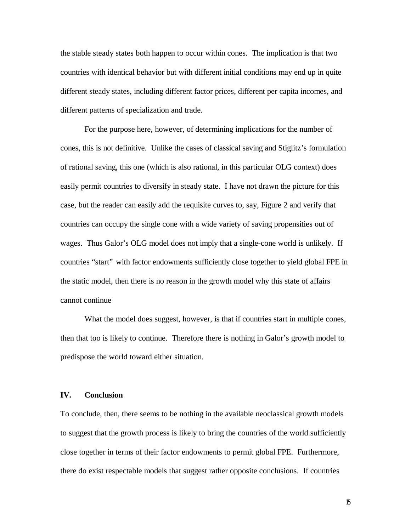the stable steady states both happen to occur within cones. The implication is that two countries with identical behavior but with different initial conditions may end up in quite different steady states, including different factor prices, different per capita incomes, and different patterns of specialization and trade.

For the purpose here, however, of determining implications for the number of cones, this is not definitive. Unlike the cases of classical saving and Stiglitz's formulation of rational saving, this one (which is also rational, in this particular OLG context) does easily permit countries to diversify in steady state. I have not drawn the picture for this case, but the reader can easily add the requisite curves to, say, Figure 2 and verify that countries can occupy the single cone with a wide variety of saving propensities out of wages. Thus Galor's OLG model does not imply that a single-cone world is unlikely. If countries "start" with factor endowments sufficiently close together to yield global FPE in the static model, then there is no reason in the growth model why this state of affairs cannot continue

What the model does suggest, however, is that if countries start in multiple cones, then that too is likely to continue. Therefore there is nothing in Galor's growth model to predispose the world toward either situation.

## **IV. Conclusion**

To conclude, then, there seems to be nothing in the available neoclassical growth models to suggest that the growth process is likely to bring the countries of the world sufficiently close together in terms of their factor endowments to permit global FPE. Furthermore, there do exist respectable models that suggest rather opposite conclusions. If countries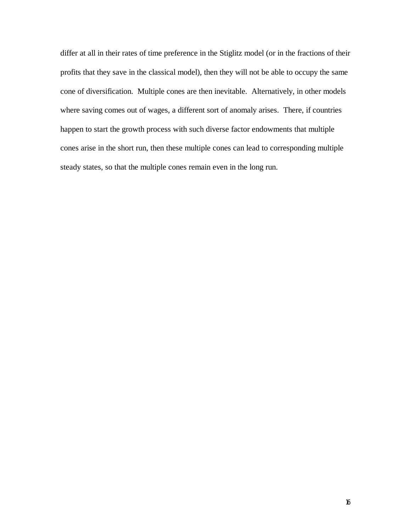differ at all in their rates of time preference in the Stiglitz model (or in the fractions of their profits that they save in the classical model), then they will not be able to occupy the same cone of diversification. Multiple cones are then inevitable. Alternatively, in other models where saving comes out of wages, a different sort of anomaly arises. There, if countries happen to start the growth process with such diverse factor endowments that multiple cones arise in the short run, then these multiple cones can lead to corresponding multiple steady states, so that the multiple cones remain even in the long run.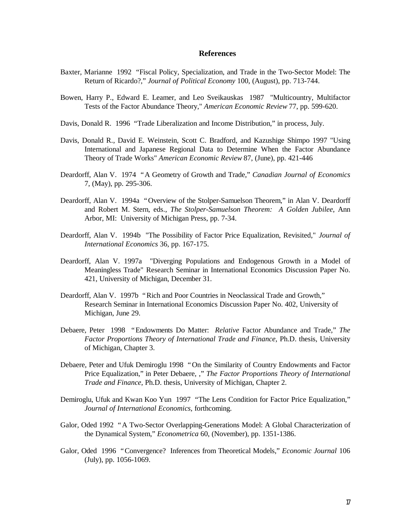#### **References**

- Baxter, Marianne 1992 "Fiscal Policy, Specialization, and Trade in the Two-Sector Model: The Return of Ricardo?," *Journal of Political Economy* 100, (August), pp. 713-744.
- Bowen, Harry P., Edward E. Leamer, and Leo Sveikauskas 1987 "Multicountry, Multifactor Tests of the Factor Abundance Theory," *American Economic Review* 77, pp. 599-620.
- Davis, Donald R. 1996 "Trade Liberalization and Income Distribution," in process, July.
- Davis, Donald R., David E. Weinstein, Scott C. Bradford, and Kazushige Shimpo 1997 "Using International and Japanese Regional Data to Determine When the Factor Abundance Theory of Trade Works" *American Economic Review* 87, (June), pp. 421-446
- Deardorff, Alan V. 1974 "A Geometry of Growth and Trade," *Canadian Journal of Economics* 7, (May), pp. 295-306.
- Deardorff, Alan V. 1994a "Overview of the Stolper-Samuelson Theorem," in Alan V. Deardorff and Robert M. Stern, eds., *The Stolper-Samuelson Theorem: A Golden Jubilee*, Ann Arbor, MI: University of Michigan Press, pp. 7-34.
- Deardorff, Alan V. 1994b "The Possibility of Factor Price Equalization, Revisited," *Journal of International Economics* 36, pp. 167-175.
- Deardorff, Alan V. 1997a "Diverging Populations and Endogenous Growth in a Model of Meaningless Trade" Research Seminar in International Economics Discussion Paper No. 421, University of Michigan, December 31.
- Deardorff, Alan V. 1997b "Rich and Poor Countries in Neoclassical Trade and Growth," Research Seminar in International Economics Discussion Paper No. 402, University of Michigan, June 29.
- Debaere, Peter 1998 "Endowments Do Matter: *Relative* Factor Abundance and Trade," *The Factor Proportions Theory of International Trade and Finance*, Ph.D. thesis, University of Michigan, Chapter 3.
- Debaere, Peter and Ufuk Demiroglu 1998 "On the Similarity of Country Endowments and Factor Price Equalization," in Peter Debaere, ," *The Factor Proportions Theory of International Trade and Finance*, Ph.D. thesis, University of Michigan, Chapter 2.
- Demiroglu, Ufuk and Kwan Koo Yun 1997 "The Lens Condition for Factor Price Equalization," *Journal of International Economics*, forthcoming.
- Galor, Oded 1992 "A Two-Sector Overlapping-Generations Model: A Global Characterization of the Dynamical System," *Econometrica* 60, (November), pp. 1351-1386.
- Galor, Oded 1996 "Convergence? Inferences from Theoretical Models," *Economic Journal* 106 (July), pp. 1056-1069.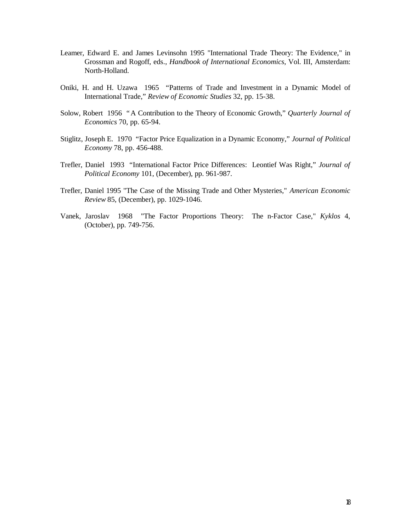- Leamer, Edward E. and James Levinsohn 1995 "International Trade Theory: The Evidence," in Grossman and Rogoff, eds., *Handbook of International Economics*, Vol. III, Amsterdam: North-Holland.
- Oniki, H. and H. Uzawa 1965 "Patterns of Trade and Investment in a Dynamic Model of International Trade," *Review of Economic Studies* 32, pp. 15-38.
- Solow, Robert 1956 "A Contribution to the Theory of Economic Growth," *Quarterly Journal of Economics* 70, pp. 65-94.
- Stiglitz, Joseph E. 1970 "Factor Price Equalization in a Dynamic Economy," *Journal of Political Economy* 78, pp. 456-488.
- Trefler, Daniel 1993 "International Factor Price Differences: Leontief Was Right," *Journal of Political Economy* 101, (December), pp. 961-987.
- Trefler, Daniel 1995 "The Case of the Missing Trade and Other Mysteries," *American Economic Review* 85, (December), pp. 1029-1046.
- Vanek, Jaroslav 1968 "The Factor Proportions Theory: The n-Factor Case," *Kyklos* 4, (October), pp. 749-756.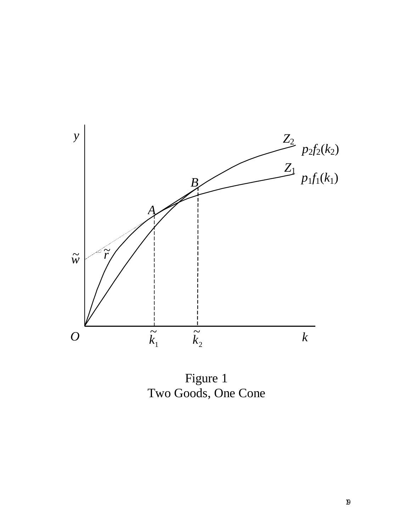

Figure 1 Two Goods, One Cone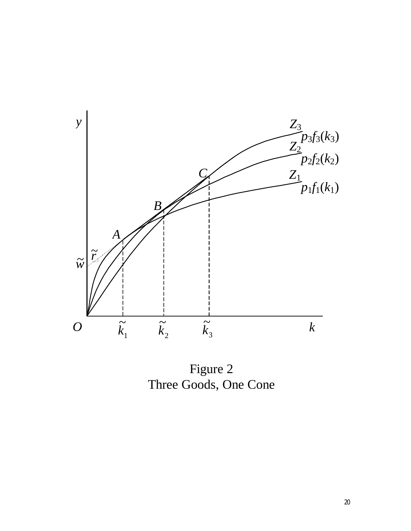

Figure 2 Three Goods, One Cone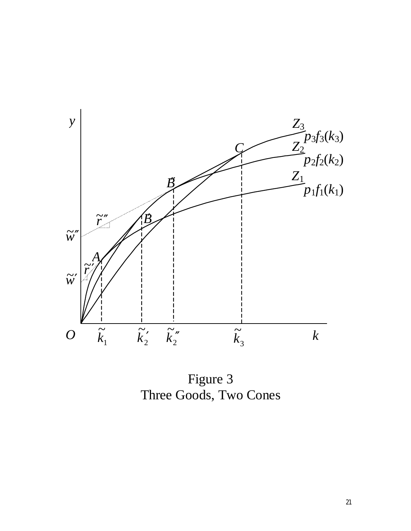

Figure 3 Three Goods, Two Cones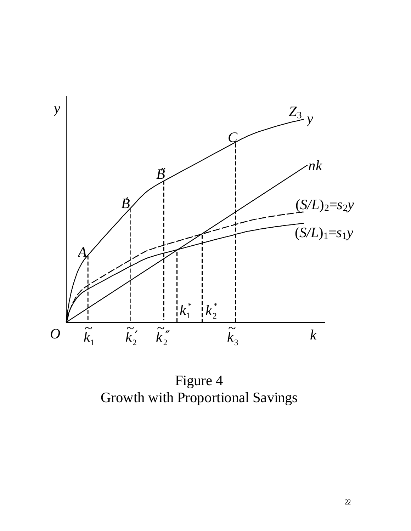

Figure 4 Growth with Proportional Savings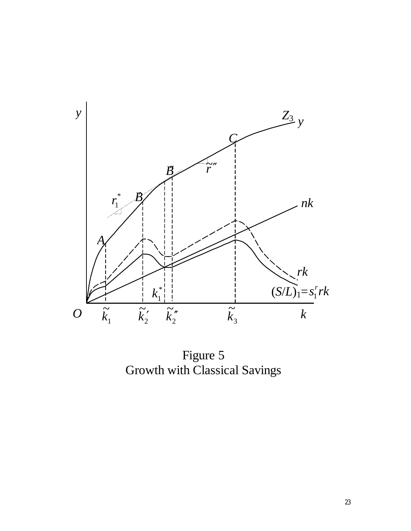

Figure 5 Growth with Classical Savings